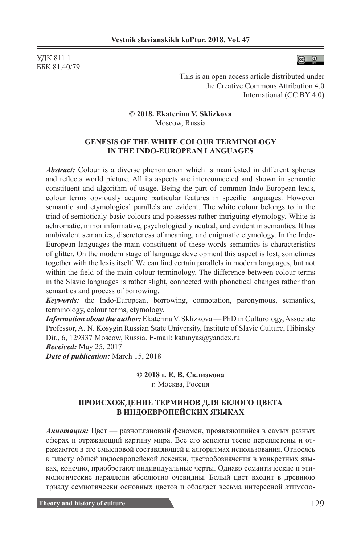УДК 811.1 ББК 81.40/79



This is an open access article distributed under the Creative Commons Attribution 4.0 International (CC BY 4.0)

**© 2018. Ekaterina V. Sklizkova** Moscow, Russia

## **GENESIS OF THE WHITE COLOUR TERMINOLOGY IN THE INDO-EUROPEAN LANGUAGES**

*Abstract:* Colour is a diverse phenomenon which is manifested in different spheres and reflects world picture. All its aspects are interconnected and shown in semantic constituent and algorithm of usage. Being the part of common Indo-European lexis, colour terms obviously acquire particular features in specific languages. However semantic and etymological parallels are evident. The white colour belongs to in the triad of semioticaly basic colours and possesses rather intriguing etymology. White is achromatic, minor informative, psychologically neutral, and evident in semantics. It has ambivalent semantics, discreteness of meaning, and enigmatic etymology. In the Indo-European languages the main constituent of these words semantics is characteristics of glitter. On the modern stage of language development this aspect is lost, sometimes together with the lexis itself. We can find certain parallels in modern languages, but not within the field of the main colour terminology. The difference between colour terms in the Slavic languages is rather slight, connected with phonetical changes rather than semantics and process of borrowing.

*Keywords:* the Indo-European, borrowing, connotation, paronymous, semantics, terminology, colour terms, etymology.

*Information about the author:* Ekaterina V. Sklizkova — PhD in Culturology, Associate Professor, A. N. Kosygin Russian State University, Institute of Slavic Culture, Hibinsky Dir., 6, 129337 Moscow, Russia. E-mail: katunyas@yandex.ru *Received:* May 25, 2017

*Date of publication:* March 15, 2018

**© 2018 г. Е. В. Склизкова** г. Москва, Россия

## **ПРОИСХОЖДЕНИЕ ТЕРМИНОВ ДЛЯ БЕЛОГО ЦВЕТА В ИНДОЕВРОПЕЙСКИХ ЯЗЫКАХ**

*Аннотация:* Цвет — разноплановый феномен, проявляющийся в самых разных сферах и отражающий картину мира. Все его аспекты тесно переплетены и отражаются в его смысловой составляющей и алгоритмах использования. Относясь к пласту общей индоевропейской лексики, цветообозначения в конкретных языках, конечно, приобретают индивидуальные черты. Однако семантические и этимологические параллели абсолютно очевидны. Белый цвет входит в древнюю триаду семиотически основных цветов и обладает весьма интересной этимоло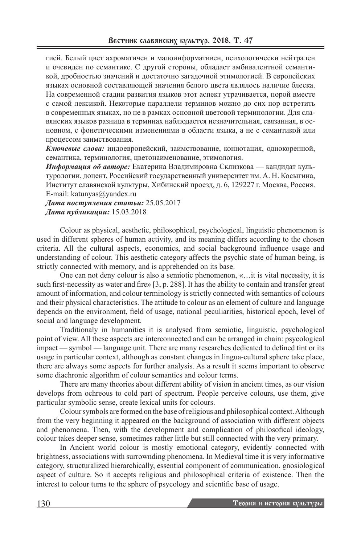гией. Белый цвет ахроматичен и малоинформативен, психологически нейтрален и очевиден по семантике. С другой стороны, обладает амбивалентной семантикой, дробностью значений и достаточно загадочной этимологией. В европейских языках основной составляющей значения белого цвета являлось наличие блеска. На современной стадии развития языков этот аспект утрачивается, порой вместе с самой лексикой. Некоторые параллели терминов можно до сих пор встретить в современных языках, но не в рамках основной цветовой терминологии. Для славянских языков разница в терминах наблюдается незначительная, связанная, в основном, с фонетическими изменениями в области языка, а не с семантикой или процессом заимствования.

*Ключевые слова:* индоевропейский, заимствование, коннотация, однокоренной, семантика, терминология, цветонаименование, этимология.

*Информация об авторе:* Екатерина Владимировна Склизкова — кандидат культурологии, доцент, Российский государственный университет им. А. Н. Косыгина, Институт славянской культуры, Хибинский проезд, д. 6, 129227 г. Москва, Россия. E-mail: katunyas@yandex.ru

*Дата поступления статьи:* 25.05.2017 *Дата публикации:* 15.03.2018

Colour as physical, aesthetic, philosophical, psychological, linguistic phenomenon is used in different spheres of human activity, and its meaning differs according to the chosen criteria. All the cultural aspects, economics, and social background influence usage and understanding of colour. This aesthetic category affects the psychic state of human being, is strictly connected with memory, and is apprehended on its base.

One can not deny colour is also a semiotic phenomenon, «…it is vital necessity, it is such first-necessity as water and fire» [3, p. 288]. It has the ability to contain and transfer great amount of information, and colour terminology is strictly connected with semantics of colours and their physical characteristics. The attitude to colour as an element of culture and language depends on the environment, field of usage, national peculiarities, historical epoch, level of social and language development.

Traditionaly in humanities it is analysed from semiotic, linguistic, psychological point of view. All these aspects are interconnected and can be arranged in chain: psycological impact — symbol — language unit. There are many researches dedicated to defined tint or its usage in particular context, although as constant changes in lingua-cultural sphere take place, there are always some aspects for further analysis. As a result it seems important to observe some diachronic algorithm of colour semantics and colour terms.

There are many theories about different ability of vision in ancient times, as our vision develops from ochreous to cold part of spectrum. People perceive colours, use them, give particular symbolic sense, create lexical units for colours.

Colour symbols are formed on the base of religious and philosophical context. Although from the very beginning it appeared on the background of association with different objects and phenomena. Then, with the development and complication of philosofical ideology, colour takes deeper sense, sometimes rather little but still connected with the very primary.

In Ancient world colour is mostly emotional category, evidently connected with brightness, associations with surrownding phenomena. In Medieval time it is very informative category, structuralized hierarchically, essential component of communication, gnosiological aspect of culture. So it accepts religious and philosophical criteria of existence. Then the interest to colour turns to the sphere of psycology and scientific base of usage.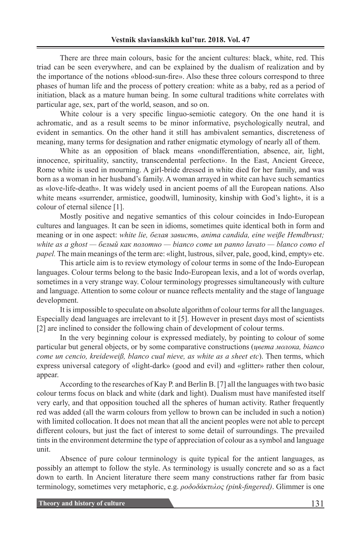There are three main colours, basic for the ancient cultures: black, white, red. This triad can be seen everywhere, and can be explained by the dualism of realization and by the importance of the notions «blood-sun-fire». Also these three colours correspond to three phases of human life and the process of pottery creation: white as a baby, red as a period of initiation, black as a mature human being. In some cultural traditions white correlates with particular age, sex, part of the world, season, and so on.

White colour is a very specific linguo-semiotic category. On the one hand it is achromatic, and as a result seems to be minor informative, psychologically neutral, and evident in semantics. On the other hand it still has ambivalent semantics, discreteness of meaning, many terms for designation and rather enigmatic etymology of nearly all of them.

White as an opposition of black means «nondifferentiation, absence, air, light, innocence, spirituality, sanctity, transcendental perfection». In the East, Ancient Greece, Rome white is used in mourning. A girl-bride dressed in white died for her family, and was born as a woman in her husband's family. A woman arrayed in white can have such semantics as «love-life-death». It was widely used in ancient poems of all the European nations. Also white means «surrender, armistice, goodwill, luminosity, kinship with God's light», it is a colour of eternal silence [1].

Mostly positive and negative semantics of this colour coincides in Indo-European cultures and languages. It can be seen in idioms, sometimes quite identical both in form and meaning or in one aspect: *white lie, белая зависть, anima candida, eine weiße Hemdbrust; white as a ghost — белый как полотно — bianco come un panno lavato — blanco como el papel*. The main meanings of the term are: «light, lustrous, silver, pale, good, kind, empty» etc.

This article aim is to review etymology of colour terms in some of the Indo-European languages. Colour terms belong to the basic Indo-European lexis, and a lot of words overlap, sometimes in a very strange way. Colour terminology progresses simultaneously with culture and language. Attention to some colour or nuance reflects mentality and the stage of language development.

It is impossible to speculate on absolute algorithm of colour terms for all the languages. Especially dead languages are irrelevant to it [5]. However in present days most of scientists [2] are inclined to consider the following chain of development of colour terms.

In the very beginning colour is expressed mediately, by pointing to colour of some particular but general objects, or by some comparative constructions (*цвета молока, bianco come un cencio, kreideweiß, blanco cual nieve, as white as a sheet etc*). Then terms, which express universal category of «light-dark» (good and evil) and «glitter» rather then colour, appear.

According to the researches of Kay P. and Berlin B. [7] all the languages with two basic colour terms focus on black and white (dark and light). Dualism must have manifested itself very early, and that opposition touched all the spheres of human activity. Rather frequently red was added (all the warm colours from yellow to brown can be included in such a notion) with limited collocation. It does not mean that all the ancient peoples were not able to percept different colours, but just the fact of interest to some detail of surroundings. The prevailed tints in the environment determine the type of appreciation of colour as a symbol and language unit.

Absence of pure colour terminology is quite typical for the antient languages, as possibly an attempt to follow the style. As terminology is usually concrete and so as a fact down to earth. In Ancient literature there seem many constructions rather far from basic terminology, sometimes very metaphoric, e.g. *ροδοδάκτυλος (pink-fingered)*. Glimmer is one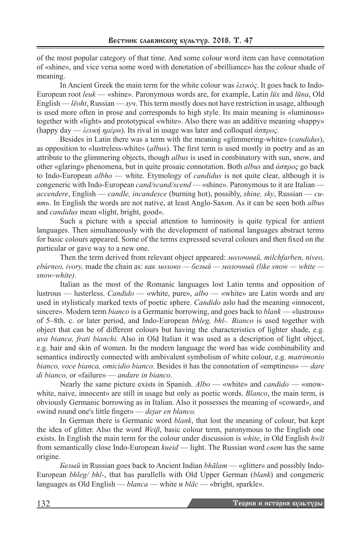of the most popular category of that time. And some colour word item can have connotation of «shine», and vice versa some word with denotation of «brilliance» has the colour shade of meaning.

In Ancient Greek the main term for the white colour was *λευκός*. It goes back to Indo-European root *leuk* — «shine». Paronymous words are, for example, Latin *lūx* and *lūna*, Old English — *lēoht*, Russian — *луч*. This term mostly does not have restriction in usage, although is used more often in prose and corresponds to high style. Its main meaning is «luminous» together with «light» and prototypical «white». Also there was an additive meaning «happy» (happy day — *λευκή ημέρα*). Its rival in usage was later and colloqual *άσπρος*.

Besides in Latin there was a term with the meaning «glimmering-white» (*candidus*), as opposition to «lustreless-white» (*albus*). The first term is used mostly in poetry and as an attribute to the glimmering objects, though *albus* is used in combinatory with sun, snow, and other «glaring» phenomena, but in quite prosaic connotation. Both *albus* and *άσπρος* go back to Indo-European *albho* — white. Etymology of *candidus* is not quite clear, although it is congeneric with Indo-European *cand/scand/scend* — «shine». Paronymous to it are Italian *accendere*, English — *candle, incandesce* (burning hot), possibly, *shine, sky*, Russian — *сиять*. In English the words are not native, at least Anglo-Saxon. As it can be seen both *albus* and *candidus* mean «light, bright, good».

Such a picture with a special attention to luminosity is quite typical for antient languages. Then simultaneously with the development of national languages abstract terms for basic colours appeared. Some of the terms expressed several colours and then fixed on the particular or gave way to a new one.

Then the term derived from relevant object appeared: *молочный, milchfarben, niveo, ebúrneo, ivory,* made the chain as: *как молоко — белый — молочный (like snow — white snow-white).* 

Italian as the most of the Romanic languages lost Latin terms and opposition of lustrous — lusterless. *Candido* — «white, pure», *albo* — «white» are Latin words and are used in stylisticaly marked texts of poetic sphere. *Candido* aslo had the meaning «innocent, sincere». Modern term *bianco* is a Germanic borrowing, and goes back to *blank* — «lustrous» of 5–8th. c. or later period, and Indo-European *bhleg, bhl-. Bianco* is used together with object that can be of different colours but having the characteristics of lighter shade, e.g. *uva bianca, frati bianchi.* Also in Old Italian it was used as a description of light object, e.g. hair and skin of women. In the modern language the word has wide combinability and semantics indirectly connected with ambivalent symbolism of white colour, e.g. *matrimonio bianco, voce bianca, omicidio bianco.* Besides it has the connotation of «emptiness» — *dare di bianco,* or «failure» — *andare in bianco.*

Nearly the same picture exists in Spanish. *Albo* — «white» and *candido* — «snowwhite, naive, innocent» are still in usage but only as poetic words. *Blanco*, the main term, is obviously Germanic borrowing as in Italian. Also it possesses the meaning of «coward», and «wind round one's little finger» — *dejar en blanco.*

In German there is Germanic word *blank*, that lost the meaning of colour, but kept the idea of glitter. Also the word *Weiβ*, basic colour term, paronymous to the English one exists. In English the main term for the colour under discussion is *white*, in Old English *hwīt* from semantically close Indo-European *kueid* — light. The Russian word *ceem* has the same origine.

*Белый* in Russian goes back to Ancient Indian *bhālam* — «glitter» and possibly Indo-European *bhleg/ bhl-*, that has parallells with Old Upper German (*blank*) and congeneric languages as Old English — *blanca* — white и *blāc* — «bright, sparkle».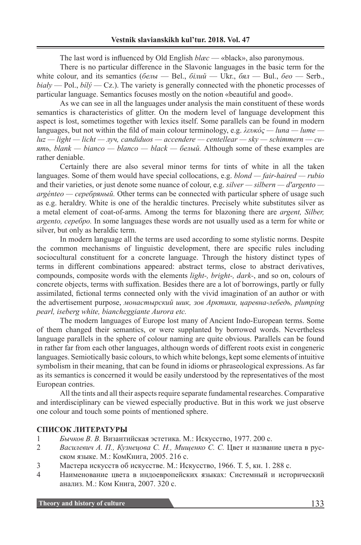The last word is influenced by Old English *blæc* — «black», also paronymous.

There is no particular difference in the Slavonic languages in the basic term for the white colour, and its semantics (*белы* — Bel., *бiлий* — Ukr., *бял* — Bul., *бео* — Serb., *biały* — Pol., *bílý* — Cz.). The variety is generally connected with the phonetic processes of particular language. Semantics focuses mostly on the notion «beautiful and good».

As we can see in all the languages under analysis the main constituent of these words semantics is characteristics of glitter. On the modern level of language development this aspect is lost, sometimes together with lexics itself. Some parallels can be found in modern languages, but not within the fild of main colour terminology, e.g. *λευκός — luna — lume luz — light — licht — луч, candiduos — accendere — centellear — sky — schimmern — сиять, blank — bianco — blanco — black — белый.* Although some of these examples are rather deniable.

Certainly there are also several minor terms for tints of white in all the taken languages. Some of them would have special collocations, e.g. *blond — fair-haired — rubio* and their varieties, or just denote some nuance of colour, e.g. *silver — silbern — d'argento argénteo — серебряный.* Other terms can be connected with particular sphere of usage such as e.g. heraldry. White is one of the heraldic tinctures. Precisely white substitutes silver as a metal element of coat-of-arms. Among the terms for blazoning there are *argent, Silber, argento, серебро.* In some languages these words are not usually used as a term for white or silver, but only as heraldic term.

In modern language all the terms are used according to some stylistic norms. Despite the common mechanisms of linguistic development, there are specific rules including sociocultural constituent for a concrete language. Through the history distinct types of terms in different combinations appeared: abstract terms, close to abstract derivatives, compounds, composite words with the elements *light-, bright-, dark-*, and so on, colours of concrete objects, terms with suffixation. Besides there are a lot of borrowings, partly or fully assimilated, fictional terms connected only with the vivid imagination of an author or with the advertisement purpose, *монастырский шик, зов Арктики, царевна-лебедь, plumping pearl, iseberg white, biancheggiante Aurora etc.*

The modern languages of Europe lost many of Ancient Indo-European terms. Some of them changed their semantics, or were supplanted by borrowed words. Nevertheless language parallels in the sphere of colour naming are quite obvious. Parallels can be found in rather far from each other languages, althougn words of different roots exist in congeneric languages. Semiotically basic colours, to which white belongs, kept some elements of intuitive symbolism in their meaning, that can be found in idioms or phraseological expressions. As far as its semantics is concerned it would be easily understood by the representatives of the most European contries.

All the tints and all their aspects require separate fundamental researches. Comparative and interdisciplinary can be viewed especially productive. But in this work we just observe one colour and touch some points of mentioned sphere.

## **СПИСОК ЛИТЕРАТУРЫ**

- 1 *Бычков В. В.* Византийская эстетика. М.: Искусство, 1977. 200 с.
- 2 *Василевич А. П., Кузнецова С. Н., Мищенко С. С.* Цвет и название цвета в русском языке. М.: КомКнига, 2005. 216 с.
- 3 Мастера искусств об искусстве. М.: Искусство, 1966. Т. 5, кн. 1. 288 с.
- 4 Наименование цвета в индоевропейских языках: Системный и исторический анализ. М.: Ком Книга, 2007. 320 с.